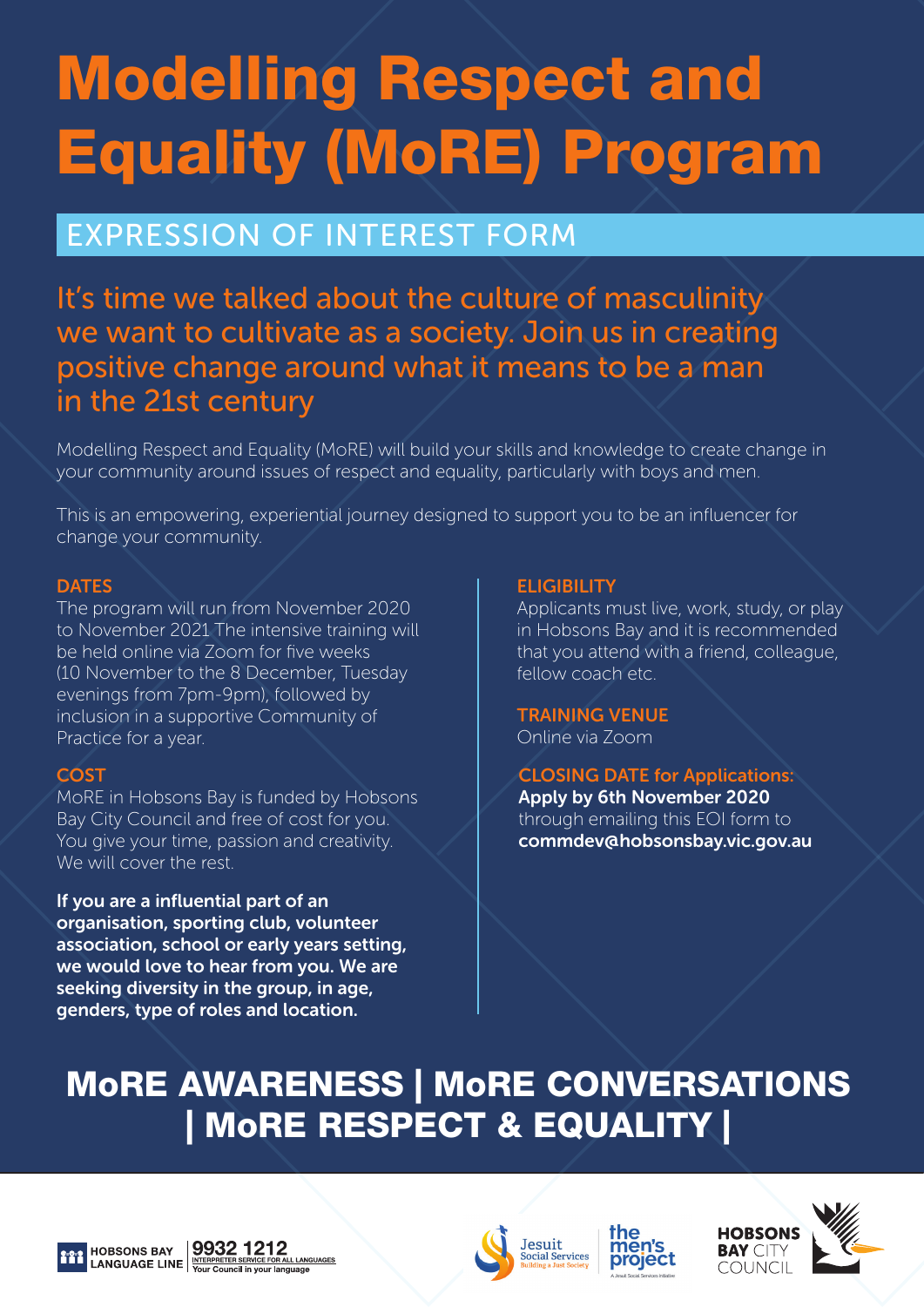# Modelling Respect and Equality (MoRE) Program

## EXPRESSION OF INTEREST FORM

### It's time we talked about the culture of masculinity we want to cultivate as a society. Join us in creating positive change around what it means to be a man in the 21st century

Modelling Respect and Equality (MoRE) will build your skills and knowledge to create change in your community around issues of respect and equality, particularly with boys and men.

This is an empowering, experiential journey designed to support you to be an influencer for change your community.

#### **DATES**

The program will run from November 2020 to November 2021 The intensive training will be held online via Zoom for five weeks (10 November to the 8 December, Tuesday evenings from 7pm-9pm), followed by inclusion in a supportive Community of Practice for a year.

#### **COST**

MoRE in Hobsons Bay is funded by Hobsons Bay City Council and free of cost for you. You give your time, passion and creativity. We will cover the rest.

If you are a influential part of an organisation, sporting club, volunteer association, school or early years setting, we would love to hear from you. We are seeking diversity in the group, in age, genders, type of roles and location.

#### **ELIGIBILITY**

Applicants must live, work, study, or play in Hobsons Bay and it is recommended that you attend with a friend, colleague, fellow coach etc.

TRAINING VENUE Online via Zoom

CLOSING DATE for Applications: Apply by 6th November 2020 through emailing this EOI form to commdev@hobsonsbay.vic.gov.au

## MoRE AWARENESS | MoRE CONVERSATIONS | MoRE RESPECT & EQUALITY |







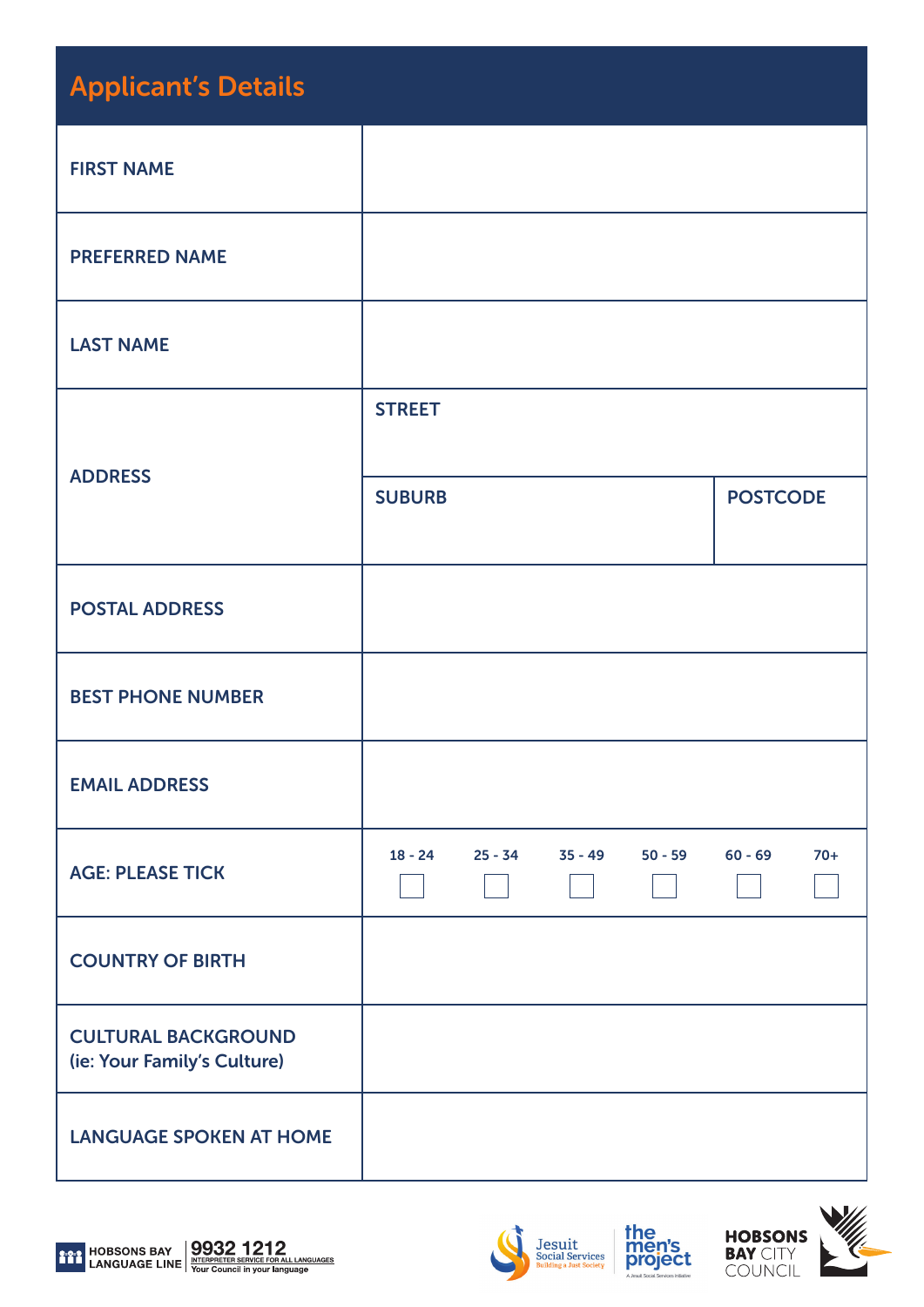| <b>Applicant's Details</b>                                |               |           |           |           |                 |       |
|-----------------------------------------------------------|---------------|-----------|-----------|-----------|-----------------|-------|
| <b>FIRST NAME</b>                                         |               |           |           |           |                 |       |
| <b>PREFERRED NAME</b>                                     |               |           |           |           |                 |       |
| <b>LAST NAME</b>                                          |               |           |           |           |                 |       |
|                                                           | <b>STREET</b> |           |           |           |                 |       |
| <b>ADDRESS</b>                                            | <b>SUBURB</b> |           |           |           | <b>POSTCODE</b> |       |
| <b>POSTAL ADDRESS</b>                                     |               |           |           |           |                 |       |
| <b>BEST PHONE NUMBER</b>                                  |               |           |           |           |                 |       |
| <b>EMAIL ADDRESS</b>                                      |               |           |           |           |                 |       |
| <b>AGE: PLEASE TICK</b>                                   | $18 - 24$     | $25 - 34$ | $35 - 49$ | $50 - 59$ | $60 - 69$       | $70+$ |
| <b>COUNTRY OF BIRTH</b>                                   |               |           |           |           |                 |       |
| <b>CULTURAL BACKGROUND</b><br>(ie: Your Family's Culture) |               |           |           |           |                 |       |
| <b>LANGUAGE SPOKEN AT HOME</b>                            |               |           |           |           |                 |       |









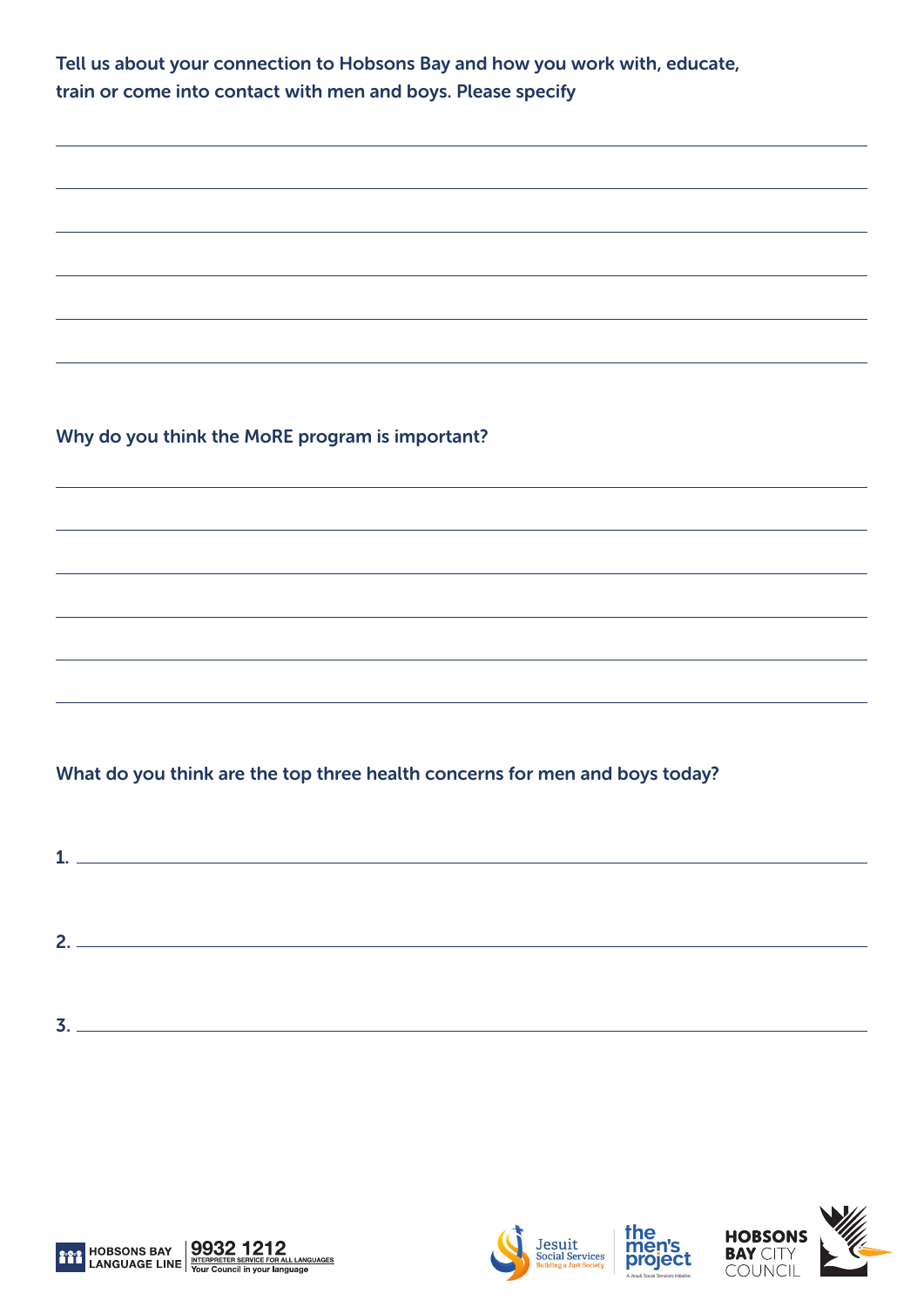| Tell us about your connection to Hobsons Bay and how you work with, educate, |
|------------------------------------------------------------------------------|
| train or come into contact with men and boys. Please specify                 |
|                                                                              |
|                                                                              |
|                                                                              |
|                                                                              |
| Why do you think the MoRE program is important?                              |
|                                                                              |
|                                                                              |
|                                                                              |
|                                                                              |
| What do you think are the top three health concerns for men and boys today?  |
| $\mathbf{1.}$ $\blacksquare$                                                 |
|                                                                              |
|                                                                              |
|                                                                              |